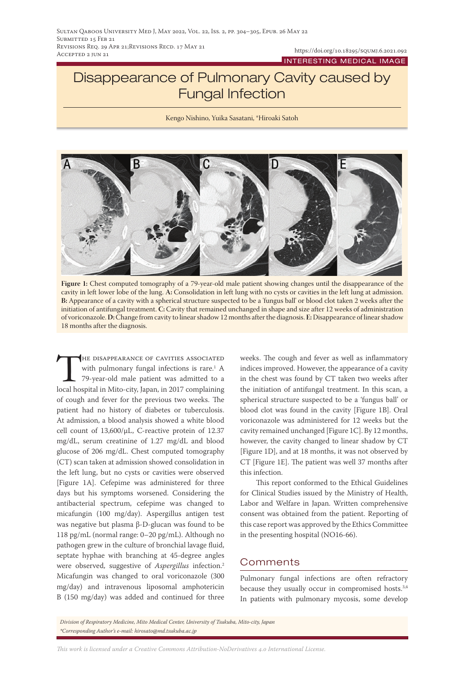## Disappearance of Pulmonary Cavity caused by Fungal Infection

Kengo Nishino, Yuika Sasatani, \*Hiroaki Satoh



**Figure 1:** Chest computed tomography of a 79-year-old male patient showing changes until the disappearance of the cavity in left lower lobe of the lung. **A:** Consolidation in left lung with no cysts or cavities in the left lung at admission. **B:** Appearance of a cavity with a spherical structure suspected to be a 'fungus ball' or blood clot taken 2 weeks after the initiation of antifungal treatment. **C:** Cavity that remained unchanged in shape and size after 12 weeks of administration of voriconazole. **D:** Change from cavity to linear shadow 12 months after the diagnosis. **E:** Disappearance of linear shadow 18 months after the diagnosis.

THE DISAPPEARANCE OF CAVITIES ASSOCIATED<br>with pulmonary fungal infections is rare.<sup>1</sup> A<br>79-year-old male patient was admitted to a<br>local hospital in Mito-city. Japan. in 2017 complaining with pulmonary fungal infections is rare.<sup>1</sup> A 79-year-old male patient was admitted to a local hospital in Mito-city, Japan, in 2017 complaining of cough and fever for the previous two weeks. The patient had no history of diabetes or tuberculosis. At admission, a blood analysis showed a white blood cell count of 13,600/μL, C-reactive protein of 12.37 mg/dL, serum creatinine of 1.27 mg/dL and blood glucose of 206 mg/dL. Chest computed tomography (CT) scan taken at admission showed consolidation in the left lung, but no cysts or cavities were observed [Figure 1A]. Cefepime was administered for three days but his symptoms worsened. Considering the antibacterial spectrum, cefepime was changed to micafungin (100 mg/day). Aspergillus antigen test was negative but plasma β-D-glucan was found to be 118 pg/mL (normal range: 0–20 pg/mL). Although no pathogen grew in the culture of bronchial lavage fluid, septate hyphae with branching at 45-degree angles were observed, suggestive of *Aspergillus* infection.2 Micafungin was changed to oral voriconazole (300 mg/day) and intravenous liposomal amphotericin B (150 mg/day) was added and continued for three

weeks. The cough and fever as well as inflammatory indices improved. However, the appearance of a cavity in the chest was found by CT taken two weeks after the initiation of antifungal treatment. In this scan, a spherical structure suspected to be a 'fungus ball' or blood clot was found in the cavity [Figure 1B]. Oral voriconazole was administered for 12 weeks but the cavity remained unchanged [Figure 1C]. By 12 months, however, the cavity changed to linear shadow by CT [Figure 1D], and at 18 months, it was not observed by CT [Figure 1E]. The patient was well 37 months after this infection.

This report conformed to the Ethical Guidelines for Clinical Studies issued by the Ministry of Health, Labor and Welfare in Japan. Written comprehensive consent was obtained from the patient. Reporting of this case report was approved by the Ethics Committee in the presenting hospital (NO16-66).

## **Comments**

Pulmonary fungal infections are often refractory because they usually occur in compromised hosts.<sup>3,4</sup> In patients with pulmonary mycosis, some develop

*Division of Respiratory Medicine, Mito Medical Center, University of Tsukuba, Mito-city, Japan \*Corresponding Author's e-mail: hirosato@md.tsukuba.ac.jp*